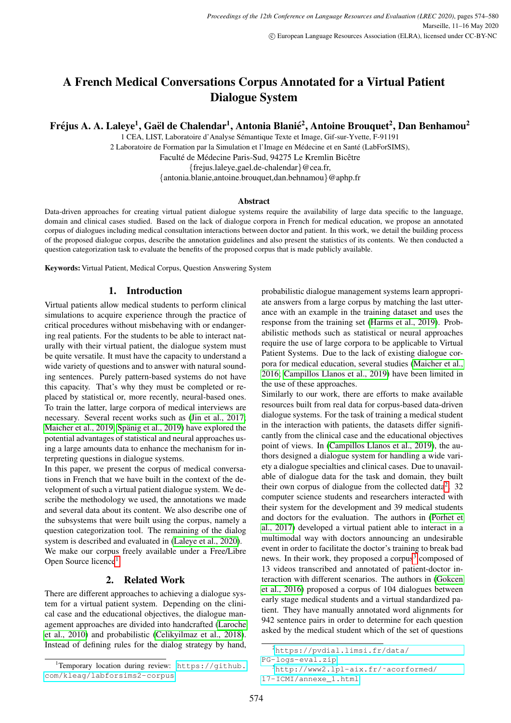# A French Medical Conversations Corpus Annotated for a Virtual Patient Dialogue System

Fréjus A. A. Laleye<sup>1</sup>, Gaël de Chalendar<sup>1</sup>, Antonia Blanié<sup>2</sup>, Antoine Brouquet<sup>2</sup>, Dan Benhamou<sup>2</sup>

1 CEA, LIST, Laboratoire d'Analyse Semantique Texte et Image, Gif-sur-Yvette, F-91191 ´ 2 Laboratoire de Formation par la Simulation et l'Image en Médecine et en Santé (LabForSIMS),

Faculté de Médecine Paris-Sud, 94275 Le Kremlin Bicêtre

{frejus.laleye,gael.de-chalendar}@cea.fr,

{antonia.blanie,antoine.brouquet,dan.behnamou}@aphp.fr

#### Abstract

Data-driven approaches for creating virtual patient dialogue systems require the availability of large data specific to the language, domain and clinical cases studied. Based on the lack of dialogue corpora in French for medical education, we propose an annotated corpus of dialogues including medical consultation interactions between doctor and patient. In this work, we detail the building process of the proposed dialogue corpus, describe the annotation guidelines and also present the statistics of its contents. We then conducted a question categorization task to evaluate the benefits of the proposed corpus that is made publicly available.

Keywords: Virtual Patient, Medical Corpus, Question Answering System

# 1. Introduction

Virtual patients allow medical students to perform clinical simulations to acquire experience through the practice of critical procedures without misbehaving with or endangering real patients. For the students to be able to interact naturally with their virtual patient, the dialogue system must be quite versatile. It must have the capacity to understand a wide variety of questions and to answer with natural sounding sentences. Purely pattern-based systems do not have this capacity. That's why they must be completed or replaced by statistical or, more recently, neural-based ones. To train the latter, large corpora of medical interviews are necessary. Several recent works such as [\(Jin et al., 2017;](#page-5-0) [Maicher et al., 2019;](#page-6-0) Spänig et al., 2019) have explored the potential advantages of statistical and neural approaches using a large amounts data to enhance the mechanism for interpreting questions in dialogue systems.

In this paper, we present the corpus of medical conversations in French that we have built in the context of the development of such a virtual patient dialogue system. We describe the methodology we used, the annotations we made and several data about its content. We also describe one of the subsystems that were built using the corpus, namely a question categorization tool. The remaining of the dialog system is described and evaluated in [\(Laleye et al., 2020\)](#page-5-1). We make our corpus freely available under a Free/Libre Open Source licence<sup>[1](#page-0-0)</sup>.

# 2. Related Work

There are different approaches to achieving a dialogue system for a virtual patient system. Depending on the clinical case and the educational objectives, the dialogue management approaches are divided into handcrafted [\(Laroche](#page-6-2) [et al., 2010\)](#page-6-2) and probabilistic [\(Celikyilmaz et al., 2018\)](#page-5-2). Instead of defining rules for the dialog strategy by hand,

probabilistic dialogue management systems learn appropriate answers from a large corpus by matching the last utterance with an example in the training dataset and uses the response from the training set [\(Harms et al., 2019\)](#page-5-3). Probabilistic methods such as statistical or neural approaches require the use of large corpora to be applicable to Virtual Patient Systems. Due to the lack of existing dialogue corpora for medical education, several studies [\(Maicher et al.,](#page-6-3) [2016;](#page-6-3) [Campillos Llanos et al., 2019\)](#page-5-4) have been limited in the use of these approaches.

Similarly to our work, there are efforts to make available resources built from real data for corpus-based data-driven dialogue systems. For the task of training a medical student in the interaction with patients, the datasets differ significantly from the clinical case and the educational objectives point of views. In [\(Campillos Llanos et al., 2019\)](#page-5-4), the authors designed a dialogue system for handling a wide variety a dialogue specialties and clinical cases. Due to unavailable of dialogue data for the task and domain, they built their own corpus of dialogue from the collected data<sup>[2](#page-0-1)</sup>. 32 computer science students and researchers interacted with their system for the development and 39 medical students and doctors for the evaluation. The authors in [\(Porhet et](#page-6-4) [al., 2017\)](#page-6-4) developed a virtual patient able to interact in a multimodal way with doctors announcing an undesirable event in order to facilitate the doctor's training to break bad news. In their work, they proposed a corpus<sup>[3](#page-0-2)</sup> composed of 13 videos transcribed and annotated of patient-doctor interaction with different scenarios. The authors in [\(Gokcen](#page-5-5) [et al., 2016\)](#page-5-5) proposed a corpus of 104 dialogues between early stage medical students and a virtual standardized patient. They have manually annotated word alignments for 942 sentence pairs in order to determine for each question asked by the medical student which of the set of questions

<span id="page-0-0"></span><sup>&</sup>lt;sup>1</sup>Temporary location during review: [https://github.](https://github.com/kleag/labforsims2-corpus) [com/kleag/labforsims2-corpus](https://github.com/kleag/labforsims2-corpus).

<span id="page-0-1"></span><sup>2</sup>[https://pvdial.limsi.fr/data/](https://pvdial.limsi.fr/data/PG-logs-eval.zip)

<span id="page-0-2"></span>[PG-logs-eval.zip](https://pvdial.limsi.fr/data/PG-logs-eval.zip) <sup>3</sup>[http://www2.lpl-aix.fr/˜acorformed/](http://www2.lpl-aix.fr/~acorformed/17-ICMI/annexe_1.html)

[<sup>17-</sup>ICMI/annexe\\_1.html](http://www2.lpl-aix.fr/~acorformed/17-ICMI/annexe_1.html)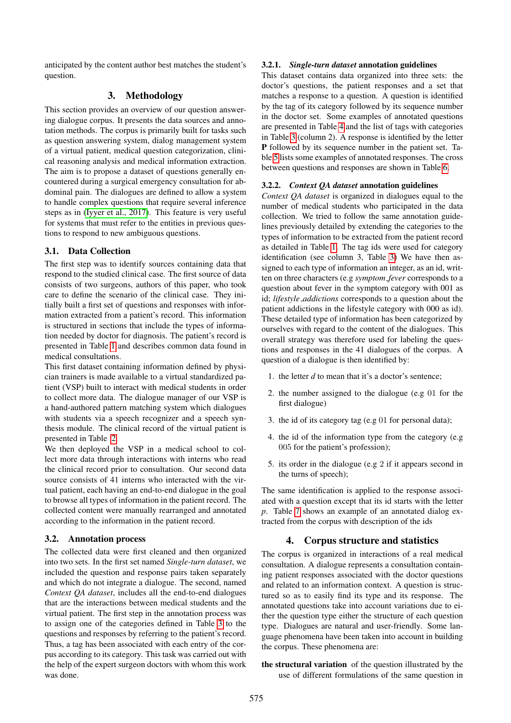anticipated by the content author best matches the student's question.

# 3. Methodology

This section provides an overview of our question answering dialogue corpus. It presents the data sources and annotation methods. The corpus is primarily built for tasks such as question answering system, dialog management system of a virtual patient, medical question categorization, clinical reasoning analysis and medical information extraction. The aim is to propose a dataset of questions generally encountered during a surgical emergency consultation for abdominal pain. The dialogues are defined to allow a system to handle complex questions that require several inference steps as in [\(Iyyer et al., 2017\)](#page-5-6). This feature is very useful for systems that must refer to the entities in previous questions to respond to new ambiguous questions.

#### 3.1. Data Collection

The first step was to identify sources containing data that respond to the studied clinical case. The first source of data consists of two surgeons, authors of this paper, who took care to define the scenario of the clinical case. They initially built a first set of questions and responses with information extracted from a patient's record. This information is structured in sections that include the types of information needed by doctor for diagnosis. The patient's record is presented in Table [1](#page-2-0) and describes common data found in medical consultations.

This first dataset containing information defined by physician trainers is made available to a virtual standardized patient (VSP) built to interact with medical students in order to collect more data. The dialogue manager of our VSP is a hand-authored pattern matching system which dialogues with students via a speech recognizer and a speech synthesis module. The clinical record of the virtual patient is presented in Table [2.](#page-2-1)

We then deployed the VSP in a medical school to collect more data through interactions with interns who read the clinical record prior to consultation. Our second data source consists of 41 interns who interacted with the virtual patient, each having an end-to-end dialogue in the goal to browse all types of information in the patient record. The collected content were manually rearranged and annotated according to the information in the patient record.

#### 3.2. Annotation process

The collected data were first cleaned and then organized into two sets. In the first set named *Single-turn dataset*, we included the question and response pairs taken separately and which do not integrate a dialogue. The second, named *Context QA dataset*, includes all the end-to-end dialogues that are the interactions between medical students and the virtual patient. The first step in the annotation process was to assign one of the categories defined in Table [3](#page-2-2) to the questions and responses by referring to the patient's record. Thus, a tag has been associated with each entry of the corpus according to its category. This task was carried out with the help of the expert surgeon doctors with whom this work was done.

#### 3.2.1. *Single-turn dataset* annotation guidelines

This dataset contains data organized into three sets: the doctor's questions, the patient responses and a set that matches a response to a question. A question is identified by the tag of its category followed by its sequence number in the doctor set. Some examples of annotated questions are presented in Table [4](#page-2-3) and the list of tags with categories in Table [3](#page-2-2) (column 2). A response is identified by the letter P followed by its sequence number in the patient set. Table [5](#page-2-4) lists some examples of annotated responses. The cross between questions and responses are shown in Table [6.](#page-3-0)

### 3.2.2. *Context QA dataset* annotation guidelines

*Context QA dataset* is organized in dialogues equal to the number of medical students who participated in the data collection. We tried to follow the same annotation guidelines previously detailed by extending the categories to the types of information to be extracted from the patient record as detailed in Table [1.](#page-2-0) The tag ids were used for category identification (see column 3, Table [3\)](#page-2-2) We have then assigned to each type of information an integer, as an id, written on three characters (e.g *symptom fever* corresponds to a question about fever in the symptom category with 001 as id; *lifestyle addictions* corresponds to a question about the patient addictions in the lifestyle category with 000 as id). These detailed type of information has been categorized by ourselves with regard to the content of the dialogues. This overall strategy was therefore used for labeling the questions and responses in the 41 dialogues of the corpus. A question of a dialogue is then identified by:

- 1. the letter *d* to mean that it's a doctor's sentence;
- 2. the number assigned to the dialogue (e.g 01 for the first dialogue)
- 3. the id of its category tag (e.g 01 for personal data);
- 4. the id of the information type from the category (e.g 005 for the patient's profession);
- 5. its order in the dialogue (e.g 2 if it appears second in the turns of speech);

The same identification is applied to the response associated with a question except that its id starts with the letter *p*. Table [7](#page-4-0) shows an example of an annotated dialog extracted from the corpus with description of the ids

# 4. Corpus structure and statistics

The corpus is organized in interactions of a real medical consultation. A dialogue represents a consultation containing patient responses associated with the doctor questions and related to an information context. A question is structured so as to easily find its type and its response. The annotated questions take into account variations due to either the question type either the structure of each question type. Dialogues are natural and user-friendly. Some language phenomena have been taken into account in building the corpus. These phenomena are:

the structural variation of the question illustrated by the use of different formulations of the same question in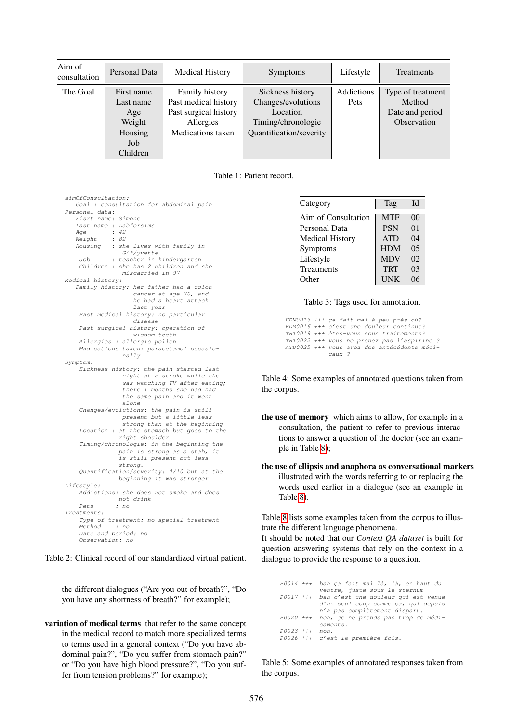| Aim of<br>consultation | Personal Data                                                          | <b>Medical History</b>                                                                            | <b>Symptoms</b>                                                                                     | Lifestyle          | Treatments                                                    |
|------------------------|------------------------------------------------------------------------|---------------------------------------------------------------------------------------------------|-----------------------------------------------------------------------------------------------------|--------------------|---------------------------------------------------------------|
| The Goal               | First name<br>Last name<br>Age<br>Weight<br>Housing<br>Job<br>Children | Family history<br>Past medical history<br>Past surgical history<br>Allergies<br>Medications taken | Sickness history<br>Changes/evolutions<br>Location<br>Timing/chronologie<br>Quantification/severity | Addictions<br>Pets | Type of treatment<br>Method<br>Date and period<br>Observation |

<span id="page-2-0"></span>Table 1: Patient record.

| aimOfConsultation:                        |
|-------------------------------------------|
| Goal : consultation for abdominal pain    |
| Personal data:                            |
| Fisrt name: Simone                        |
| Last name : Labforsims                    |
| : 42<br>Aqe                               |
| Weight<br>: 82                            |
| Housing : she lives with family in        |
| Gif/yvette                                |
| : teacher in kindergarten<br>Job          |
| Children : she has 2 children and she     |
| miscarried in 97                          |
| Medical history:                          |
| Family history: her father had a colon    |
| cancer at age 70, and                     |
| he had a heart attack                     |
| last year                                 |
| Past medical history: no particular       |
| disease                                   |
| Past surgical history: operation of       |
| wisdom teeth                              |
| Allergies : allergic pollen               |
| Madications taken: paracetamol occasio-   |
| nally                                     |
| Symptom:                                  |
| Sickness history: the pain started last   |
| night at a stroke while she               |
| was watching TV after eating;             |
| there 1 months she had had                |
|                                           |
| the same pain and it went                 |
| alone                                     |
| Changes/evolutions: the pain is still     |
| present but a little less                 |
| strong than at the beginning              |
| Location : at the stomach but goes to the |
| right shoulder                            |
| Timing/chronologie: in the beginning the  |
| pain is strong as a stab, it              |
| is still present but less                 |
| strong.                                   |
| Quantification/severity: 4/10 but at the  |
| beginning it was stronger                 |
| Lifestyle:                                |
| Addictions: she does not smoke and does   |
| not drink                                 |
| Pets<br>: no                              |
| Treatments:                               |
| Type of treatment: no special treatment   |
| Method<br>$\therefore$ no                 |
|                                           |
| Date and period: no                       |

<span id="page-2-1"></span>Table 2: Clinical record of our standardized virtual patient.

the different dialogues ("Are you out of breath?", "Do you have any shortness of breath?" for example);

variation of medical terms that refer to the same concept in the medical record to match more specialized terms to terms used in a general context ("Do you have abdominal pain?", "Do you suffer from stomach pain?" or "Do you have high blood pressure?", "Do you suffer from tension problems?" for example);

| Category               | Tag        | Id             |
|------------------------|------------|----------------|
| Aim of Consultation    | <b>MTF</b> | 0 <sup>0</sup> |
| Personal Data          | <b>PSN</b> | 0 <sub>1</sub> |
| <b>Medical History</b> | <b>ATD</b> | 04             |
| Symptoms               | <b>HDM</b> | 0.5            |
| Lifestyle              | <b>MDV</b> | 02             |
| <b>Treatments</b>      | <b>TRT</b> | 03             |
| Other                  | <b>UNK</b> | 06             |

<span id="page-2-2"></span>Table 3: Tags used for annotation.

HDM0013 +++ ça fait mal à peu près où?<br>HDM0016 +++ c'est une douleur continue? TRT0019 +++ etes-vous sous traitements? ˆ TRT0022 +++ vous ne prenez pas l'aspirine ? ATD0025 +++ vous avez des antécédents médicaux ?

<span id="page-2-3"></span>Table 4: Some examples of annotated questions taken from the corpus.

- the use of memory which aims to allow, for example in a consultation, the patient to refer to previous interactions to answer a question of the doctor (see an example in Table [8\)](#page-4-1);
- the use of ellipsis and anaphora as conversational markers illustrated with the words referring to or replacing the words used earlier in a dialogue (see an example in Table [8\)](#page-4-1).

Table [8](#page-4-1) lists some examples taken from the corpus to illustrate the different language phenomena.

It should be noted that our *Context QA dataset* is built for question answering systems that rely on the context in a dialogue to provide the response to a question.

```
P0014 +++ bah ça fait mal là, là, en haut du
            ventre, juste sous le sternum
P0017 +++ bah c'est une douleur qui est venue
            d'un seul coup comme ça, qui depuis<br>n'a pas complètement disparu.
P0020 +++ non, je ne prends pas trop de medi- ´
            caments.
P0023 +++ non.
P0026 +++ c'est la première fois.
```
<span id="page-2-4"></span>Table 5: Some examples of annotated responses taken from the corpus.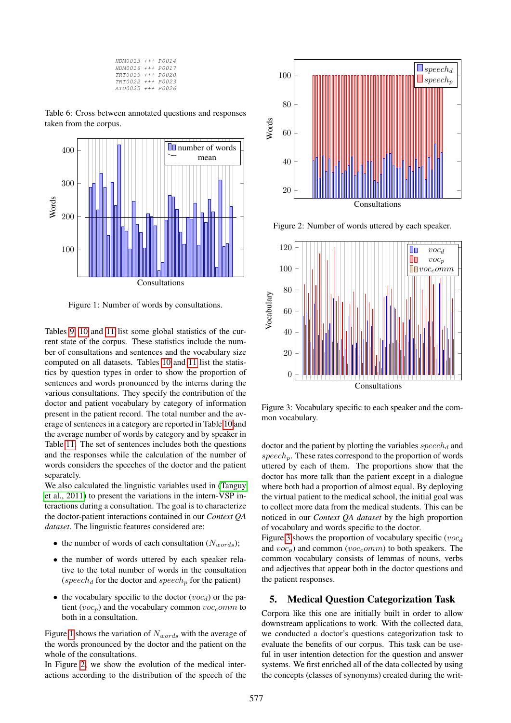| HDM0013 +++ P0014 |  |
|-------------------|--|
| HDM0016 +++ P0017 |  |
| TRT0019 +++ P0020 |  |
| TRT0022 +++ P0023 |  |
| ATD0025 +++ P0026 |  |

<span id="page-3-0"></span>Table 6: Cross between annotated questions and responses taken from the corpus.



<span id="page-3-1"></span>Figure 1: Number of words by consultations.

Tables [9,](#page-4-2) [10](#page-4-3) and [11](#page-5-7) list some global statistics of the current state of the corpus. These statistics include the number of consultations and sentences and the vocabulary size computed on all datasets. Tables [10](#page-4-3) and [11](#page-5-7) list the statistics by question types in order to show the proportion of sentences and words pronounced by the interns during the various consultations. They specify the contribution of the doctor and patient vocabulary by category of information present in the patient record. The total number and the average of sentences in a category are reported in Table [10](#page-4-3) and the average number of words by category and by speaker in Table [11.](#page-5-7) The set of sentences includes both the questions and the responses while the calculation of the number of words considers the speeches of the doctor and the patient separately.

We also calculated the linguistic variables used in [\(Tanguy](#page-6-5) [et al., 2011\)](#page-6-5) to present the variations in the intern-VSP interactions during a consultation. The goal is to characterize the doctor-patient interactions contained in our *Context QA dataset*. The linguistic features considered are:

- the number of words of each consultation  $(N_{words});$
- the number of words uttered by each speaker relative to the total number of words in the consultation (speech<sub>d</sub> for the doctor and speech<sub>p</sub> for the patient)
- the vocabulary specific to the doctor  $(voc_d)$  or the patient (voc<sub>p</sub>) and the vocabulary common voc<sub>c</sub>omm to both in a consultation.

Figure [1](#page-3-1) shows the variation of  $N_{words}$  with the average of the words pronounced by the doctor and the patient on the whole of the consultations.

In Figure [2,](#page-3-2) we show the evolution of the medical interactions according to the distribution of the speech of the



<span id="page-3-2"></span>Figure 2: Number of words uttered by each speaker.



<span id="page-3-3"></span>Figure 3: Vocabulary specific to each speaker and the common vocabulary.

doctor and the patient by plotting the variables  $\emph{specch}_d$  and  $speech_n$ . These rates correspond to the proportion of words uttered by each of them. The proportions show that the doctor has more talk than the patient except in a dialogue where both had a proportion of almost equal. By deploying the virtual patient to the medical school, the initial goal was to collect more data from the medical students. This can be noticed in our *Context QA dataset* by the high proportion of vocabulary and words specific to the doctor.

Figure [3](#page-3-3) shows the proportion of vocabulary specific ( $voc<sub>d</sub>$ ) and  $voc_p$ ) and common ( $voc_comm$ ) to both speakers. The common vocabulary consists of lemmas of nouns, verbs and adjectives that appear both in the doctor questions and the patient responses.

#### 5. Medical Question Categorization Task

Corpora like this one are initially built in order to allow downstream applications to work. With the collected data, we conducted a doctor's questions categorization task to evaluate the benefits of our corpus. This task can be useful in user intention detection for the question and answer systems. We first enriched all of the data collected by using the concepts (classes of synonyms) created during the writ-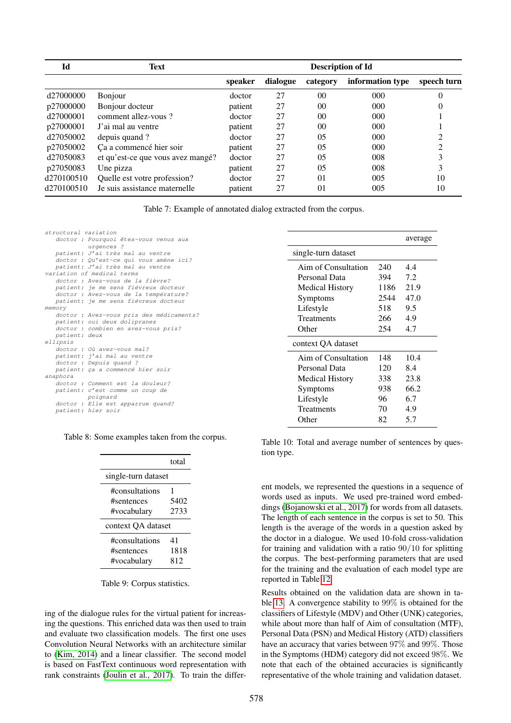| Id                    | Text                              | <b>Description of Id</b> |          |                 |                  |             |
|-----------------------|-----------------------------------|--------------------------|----------|-----------------|------------------|-------------|
|                       |                                   | speaker                  | dialogue | category        | information type | speech turn |
| d27000000             | Bonjour                           | doctor                   | 27       | 0 <sup>0</sup>  | $000 \,$         |             |
| p27000000             | Bonjour docteur                   | patient                  | 27       | 00 <sup>0</sup> | 000              |             |
| d <sub>27000001</sub> | comment allez-vous?               | doctor                   | 27       | $00\,$          | 000              |             |
| p27000001             | J'ai mal au ventre                | patient                  | 27       | 00              | $000 \,$         |             |
| d27050002             | depuis quand?                     | doctor                   | 27       | 05              | 000              |             |
| p27050002             | Ca a commencé hier soir           | patient                  | 27       | 0 <sub>5</sub>  | 000              |             |
| d <sub>27050083</sub> | et qu'est-ce que vous avez mangé? | doctor                   | 27       | 05              | 008              |             |
| p27050083             | Une pizza                         | patient                  | 27       | 05              | 008              |             |
| d270100510            | Quelle est votre profession?      | doctor                   | 27       | 01              | 005              | 10          |
| d270100510            | Je suis assistance maternelle     | patient                  | 27       | 01              | 005              | 10          |

<span id="page-4-0"></span>Table 7: Example of annotated dialog extracted from the corpus.

| structural variation                     |
|------------------------------------------|
| doctor : Pourquoi êtes-vous venus aux    |
| urgences ?                               |
| patient: J'ai très mal au ventre         |
| doctor : Qu'est-ce qui vous amène ici?   |
| patient: J'ai très mal au ventre         |
| variation of medical terms               |
| doctor : Avez-vous de la fièvre?         |
| patient: je me sens fiévreux docteur     |
| doctor : Avez-vous de la température?    |
| patient: je me sens fiévreux docteur     |
| memory                                   |
| doctor : Avez-vous pris des médicaments? |
| patient: oui deux dolipranes             |
| doctor : combien en avez-vous pris?      |
| patient: deux                            |
| ellipsis                                 |
| doctor : Où avez-vous mal?               |
| patient: j'ai mal au ventre              |
| doctor: Depuis quand ?                   |
| patient: ça a commencé hier soir         |
| anaphora                                 |
| doctor : Comment est la douleur?         |
| patient: c'est comme un coup de          |
| poignard                                 |
| doctor : Elle est apparrue quand?        |
| patient: hier soir                       |

Table 8: Some examples taken from the corpus.

<span id="page-4-1"></span>

|                     | total |
|---------------------|-------|
| single-turn dataset |       |
| #consultations      | 1     |
| #sentences          | 5402  |
| #vocabulary         | 2733  |
| context OA dataset  |       |
| #consultations      | 41    |
| #sentences          | 1818  |
| #vocabulary         | 812   |

<span id="page-4-2"></span>Table 9: Corpus statistics.

ing of the dialogue rules for the virtual patient for increasing the questions. This enriched data was then used to train and evaluate two classification models. The first one uses Convolution Neural Networks with an architecture similar to [\(Kim, 2014\)](#page-5-8) and a linear classifier. The second model is based on FastText continuous word representation with rank constraints [\(Joulin et al., 2017\)](#page-5-9). To train the differ-

|                        |      | average |
|------------------------|------|---------|
| single-turn dataset    |      |         |
| Aim of Consultation    | 240  | 4.4     |
| Personal Data          | 394  | 7.2     |
| <b>Medical History</b> | 1186 | 21.9    |
| Symptoms               | 2544 | 47.0    |
| Lifestyle              | 518  | 9.5     |
| Treatments             | 266  | 4.9     |
| Other                  | 254  | 4.7     |
| context QA dataset     |      |         |
| Aim of Consultation    | 148  | 10.4    |
| Personal Data          | 120  | 8.4     |
| <b>Medical History</b> | 338  | 23.8    |
| Symptoms               | 938  | 66.2    |
| Lifestyle              | 96   | 6.7     |
| Treatments             | 70   | 4.9     |
| Other                  | 82   | 5.7     |

<span id="page-4-3"></span>Table 10: Total and average number of sentences by question type.

ent models, we represented the questions in a sequence of words used as inputs. We used pre-trained word embeddings [\(Bojanowski et al., 2017\)](#page-5-10) for words from all datasets. The length of each sentence in the corpus is set to 50. This length is the average of the words in a question asked by the doctor in a dialogue. We used 10-fold cross-validation for training and validation with a ratio 90/10 for splitting the corpus. The best-performing parameters that are used for the training and the evaluation of each model type are reported in Table [12.](#page-6-6)

Results obtained on the validation data are shown in table [13.](#page-6-7) A convergence stability to 99% is obtained for the classifiers of Lifestyle (MDV) and Other (UNK) categories, while about more than half of Aim of consultation (MTF), Personal Data (PSN) and Medical History (ATD) classifiers have an accuracy that varies between 97% and 99%. Those in the Symptoms (HDM) category did not exceed 98%. We note that each of the obtained accuracies is significantly representative of the whole training and validation dataset.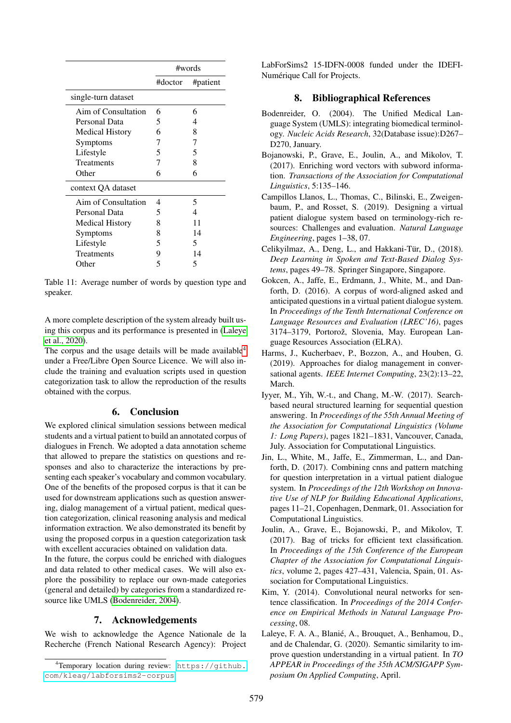|                        | #words  |          |  |
|------------------------|---------|----------|--|
|                        | #doctor | #patient |  |
| single-turn dataset    |         |          |  |
| Aim of Consultation    | 6       | 6        |  |
| Personal Data          | 5       | 4        |  |
| <b>Medical History</b> | 6       | 8        |  |
| Symptoms               | 7       | 7        |  |
| Lifestyle              | 5       | 5        |  |
| Treatments             | 7       | 8        |  |
| Other                  | 6       | 6        |  |
| context QA dataset     |         |          |  |
| Aim of Consultation    | 4       | 5        |  |
| Personal Data          | 5       | 4        |  |
| <b>Medical History</b> | 8       | 11       |  |
| Symptoms               | 8       | 14       |  |
| Lifestyle              | 5       | 5        |  |
| Treatments             | 9       | 14       |  |
| Other                  | 5       | 5        |  |

<span id="page-5-7"></span>Table 11: Average number of words by question type and speaker.

A more complete description of the system already built using this corpus and its performance is presented in [\(Laleye](#page-5-1) [et al., 2020\)](#page-5-1).

The corpus and the usage details will be made available<sup>[4](#page-5-11)</sup> under a Free/Libre Open Source Licence. We will also include the training and evaluation scripts used in question categorization task to allow the reproduction of the results obtained with the corpus.

# 6. Conclusion

We explored clinical simulation sessions between medical students and a virtual patient to build an annotated corpus of dialogues in French. We adopted a data annotation scheme that allowed to prepare the statistics on questions and responses and also to characterize the interactions by presenting each speaker's vocabulary and common vocabulary. One of the benefits of the proposed corpus is that it can be used for downstream applications such as question answering, dialog management of a virtual patient, medical question categorization, clinical reasoning analysis and medical information extraction. We also demonstrated its benefit by using the proposed corpus in a question categorization task with excellent accuracies obtained on validation data.

In the future, the corpus could be enriched with dialogues and data related to other medical cases. We will also explore the possibility to replace our own-made categories (general and detailed) by categories from a standardized resource like UMLS [\(Bodenreider, 2004\)](#page-5-12).

# 7. Acknowledgements

We wish to acknowledge the Agence Nationale de la Recherche (French National Research Agency): Project LabForSims2 15-IDFN-0008 funded under the IDEFI-Numérique Call for Projects.

# 8. Bibliographical References

- <span id="page-5-12"></span>Bodenreider, O. (2004). The Unified Medical Language System (UMLS): integrating biomedical terminology. *Nucleic Acids Research*, 32(Database issue):D267– D270, January.
- <span id="page-5-10"></span>Bojanowski, P., Grave, E., Joulin, A., and Mikolov, T. (2017). Enriching word vectors with subword information. *Transactions of the Association for Computational Linguistics*, 5:135–146.
- <span id="page-5-4"></span>Campillos Llanos, L., Thomas, C., Bilinski, E., Zweigenbaum, P., and Rosset, S. (2019). Designing a virtual patient dialogue system based on terminology-rich resources: Challenges and evaluation. *Natural Language Engineering*, pages 1–38, 07.
- <span id="page-5-2"></span>Celikyilmaz, A., Deng, L., and Hakkani-Tür, D., (2018). *Deep Learning in Spoken and Text-Based Dialog Systems*, pages 49–78. Springer Singapore, Singapore.
- <span id="page-5-5"></span>Gokcen, A., Jaffe, E., Erdmann, J., White, M., and Danforth, D. (2016). A corpus of word-aligned asked and anticipated questions in a virtual patient dialogue system. In *Proceedings of the Tenth International Conference on Language Resources and Evaluation (LREC'16)*, pages 3174–3179, Portorož, Slovenia, May. European Language Resources Association (ELRA).
- <span id="page-5-3"></span>Harms, J., Kucherbaev, P., Bozzon, A., and Houben, G. (2019). Approaches for dialog management in conversational agents. *IEEE Internet Computing*, 23(2):13–22, March.
- <span id="page-5-6"></span>Iyyer, M., Yih, W.-t., and Chang, M.-W. (2017). Searchbased neural structured learning for sequential question answering. In *Proceedings of the 55th Annual Meeting of the Association for Computational Linguistics (Volume 1: Long Papers)*, pages 1821–1831, Vancouver, Canada, July. Association for Computational Linguistics.
- <span id="page-5-0"></span>Jin, L., White, M., Jaffe, E., Zimmerman, L., and Danforth, D. (2017). Combining cnns and pattern matching for question interpretation in a virtual patient dialogue system. In *Proceedings of the 12th Workshop on Innovative Use of NLP for Building Educational Applications*, pages 11–21, Copenhagen, Denmark, 01. Association for Computational Linguistics.
- <span id="page-5-9"></span>Joulin, A., Grave, E., Bojanowski, P., and Mikolov, T. (2017). Bag of tricks for efficient text classification. In *Proceedings of the 15th Conference of the European Chapter of the Association for Computational Linguistics*, volume 2, pages 427–431, Valencia, Spain, 01. Association for Computational Linguistics.
- <span id="page-5-8"></span>Kim, Y. (2014). Convolutional neural networks for sentence classification. In *Proceedings of the 2014 Conference on Empirical Methods in Natural Language Processing*, 08.
- <span id="page-5-1"></span>Laleye, F. A. A., Blanié, A., Brouquet, A., Benhamou, D., and de Chalendar, G. (2020). Semantic similarity to improve question understanding in a virtual patient. In *TO APPEAR in Proceedings of the 35th ACM/SIGAPP Symposium On Applied Computing*, April.

<span id="page-5-11"></span><sup>4</sup>Temporary location during review: [https://github.](https://github.com/kleag/labforsims2-corpus) [com/kleag/labforsims2-corpus](https://github.com/kleag/labforsims2-corpus).